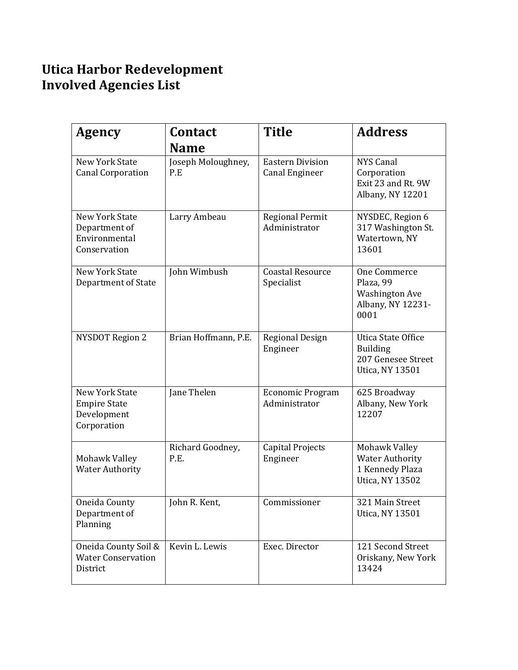## Utica Harbor Redevelopment Involved Agencies List

| <b>Agency</b>                                                           | <b>Contact</b><br><b>Name</b> | <b>Title</b>                                     | <b>Address</b>                                                                               |
|-------------------------------------------------------------------------|-------------------------------|--------------------------------------------------|----------------------------------------------------------------------------------------------|
| <b>New York State</b><br><b>Canal Corporation</b>                       | Joseph Moloughney,<br>P.E     | <b>Eastern Division</b><br><b>Canal Engineer</b> | <b>NYS Canal</b><br>Corporation<br>Exit 23 and Rt. 9W<br>Albany, NY 12201                    |
| <b>New York State</b><br>Department of<br>Environmental<br>Conservation | Larry Ambeau                  | <b>Regional Permit</b><br>Administrator          | NYSDEC, Region 6<br>317 Washington St.<br>Watertown, NY<br>13601                             |
| <b>New York State</b><br>Department of State                            | John Wimbush                  | <b>Coastal Resource</b><br>Specialist            | One Commerce<br>Plaza, 99<br><b>Washington Ave</b><br>Albany, NY 12231-<br>0001              |
| <b>NYSDOT Region 2</b>                                                  | Brian Hoffmann, P.E.          | <b>Regional Design</b><br>Engineer               | <b>Utica State Office</b><br><b>Building</b><br>207 Genesee Street<br><b>Utica, NY 13501</b> |
| New York State<br><b>Empire State</b><br>Development<br>Corporation     | Jane Thelen                   | Economic Program<br>Administrator                | 625 Broadway<br>Albany, New York<br>12207                                                    |
| Mohawk Valley<br><b>Water Authority</b>                                 | Richard Goodney,<br>P.E.      | <b>Capital Projects</b><br>Engineer              | Mohawk Valley<br><b>Water Authority</b><br>1 Kennedy Plaza<br>Utica, NY 13502                |
| Oneida County<br>Department of<br>Planning                              | John R. Kent,                 | Commissioner                                     | 321 Main Street<br>Utica, NY 13501                                                           |
| Oneida County Soil &<br><b>Water Conservation</b><br>District           | Kevin L. Lewis                | Exec. Director                                   | 121 Second Street<br>Oriskany, New York<br>13424                                             |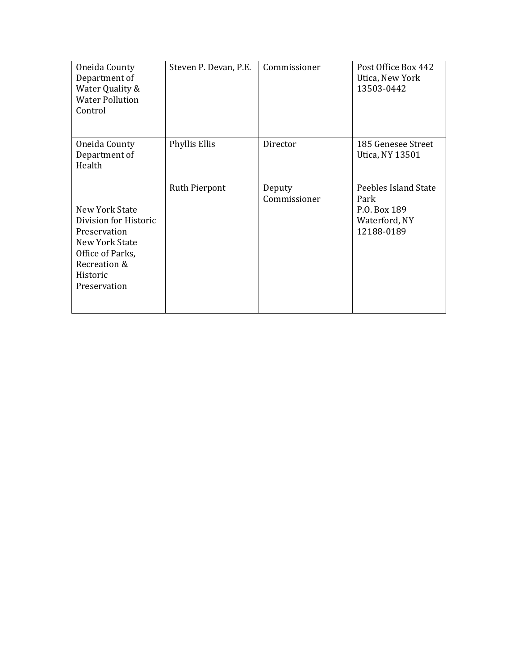| Oneida County<br>Department of<br>Water Quality &<br><b>Water Pollution</b><br>Control                                                    | Steven P. Devan, P.E. | Commissioner           | Post Office Box 442<br>Utica, New York<br>13503-0442                        |
|-------------------------------------------------------------------------------------------------------------------------------------------|-----------------------|------------------------|-----------------------------------------------------------------------------|
| Oneida County<br>Department of<br>Health                                                                                                  | Phyllis Ellis         | Director               | 185 Genesee Street<br>Utica, NY 13501                                       |
| New York State<br>Division for Historic<br>Preservation<br>New York State<br>Office of Parks,<br>Recreation &<br>Historic<br>Preservation | Ruth Pierpont         | Deputy<br>Commissioner | Peebles Island State<br>Park<br>P.O. Box 189<br>Waterford, NY<br>12188-0189 |